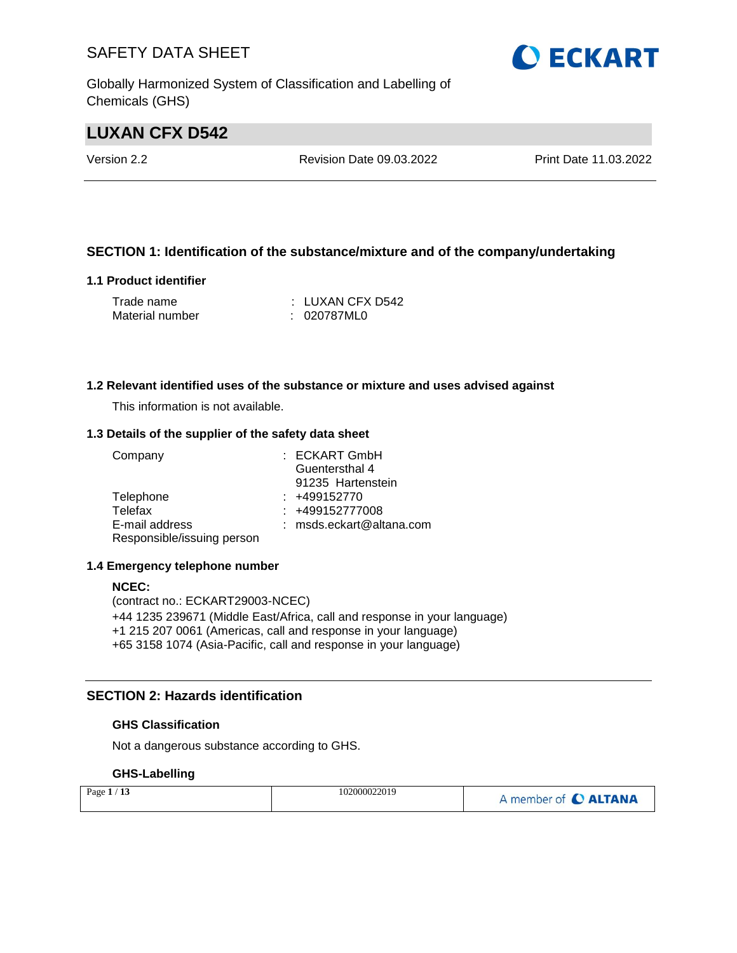Globally Harmonized System of Classification and Labelling of Chemicals (GHS)

# **LUXAN CFX D542**

Version 2.2 Revision Date 09.03.2022 Print Date 11.03.2022

### **SECTION 1: Identification of the substance/mixture and of the company/undertaking**

#### **1.1 Product identifier**

| Trade name      | : LUXAN CFX D542 |
|-----------------|------------------|
| Material number | : 020787ML0      |

#### **1.2 Relevant identified uses of the substance or mixture and uses advised against**

This information is not available.

#### **1.3 Details of the supplier of the safety data sheet**

| Company                    | : ECKART GmbH              |
|----------------------------|----------------------------|
|                            | Guentersthal 4             |
|                            | 91235 Hartenstein          |
| Telephone                  | $: +499152770$             |
| Telefax                    | $: +499152777008$          |
| E-mail address             | $:$ msds.eckart@altana.com |
| Responsible/issuing person |                            |

#### **1.4 Emergency telephone number**

#### **NCEC:**

(contract no.: ECKART29003-NCEC) +44 1235 239671 (Middle East/Africa, call and response in your language) +1 215 207 0061 (Americas, call and response in your language) +65 3158 1074 (Asia-Pacific, call and response in your language)

#### **SECTION 2: Hazards identification**

#### **GHS Classification**

Not a dangerous substance according to GHS.

### **GHS-Labelling**

| Page $1/13$ | 102000022019 | A member of C ALTANA |
|-------------|--------------|----------------------|
|-------------|--------------|----------------------|

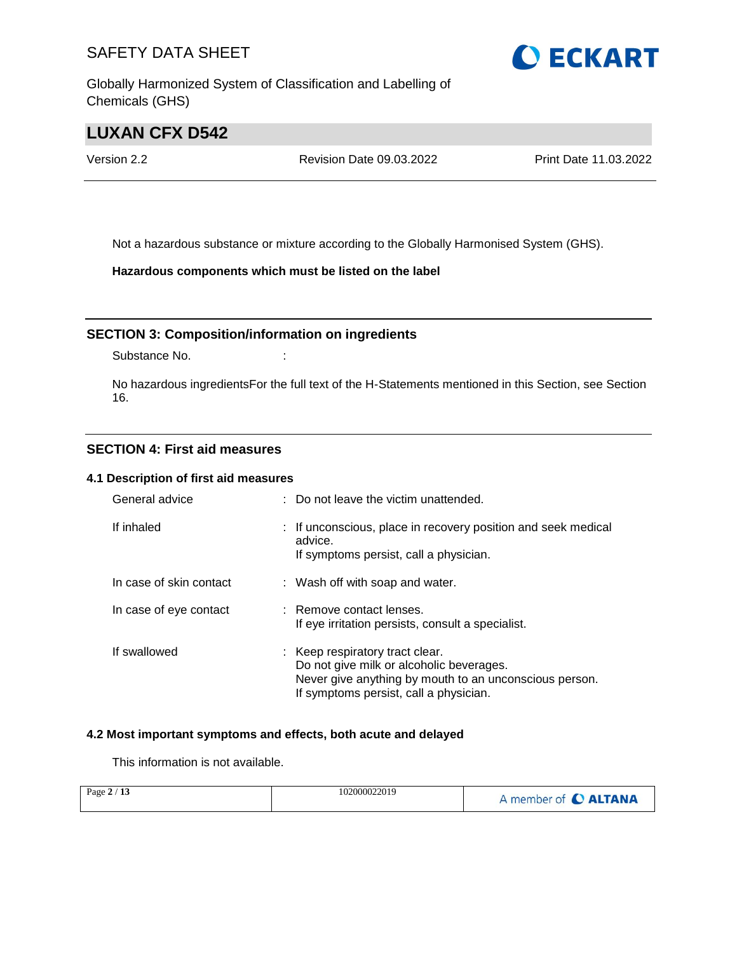Globally Harmonized System of Classification and Labelling of Chemicals (GHS)

# **LUXAN CFX D542**

Version 2.2 Revision Date 09.03.2022 Print Date 11.03.2022

Not a hazardous substance or mixture according to the Globally Harmonised System (GHS).

**Hazardous components which must be listed on the label**

### **SECTION 3: Composition/information on ingredients**

Substance No. **:** :

No hazardous ingredientsFor the full text of the H-Statements mentioned in this Section, see Section 16.

### **SECTION 4: First aid measures**

### **4.1 Description of first aid measures**

| General advice          | : Do not leave the victim unattended.                                                                                                                                           |
|-------------------------|---------------------------------------------------------------------------------------------------------------------------------------------------------------------------------|
| If inhaled              | : If unconscious, place in recovery position and seek medical<br>advice.<br>If symptoms persist, call a physician.                                                              |
| In case of skin contact | : Wash off with soap and water.                                                                                                                                                 |
| In case of eye contact  | : Remove contact lenses.<br>If eye irritation persists, consult a specialist.                                                                                                   |
| If swallowed            | : Keep respiratory tract clear.<br>Do not give milk or alcoholic beverages.<br>Never give anything by mouth to an unconscious person.<br>If symptoms persist, call a physician. |

#### **4.2 Most important symptoms and effects, both acute and delayed**

This information is not available.

| Page $2/13$ | 102000022019 | member of C ALTANA |
|-------------|--------------|--------------------|
|-------------|--------------|--------------------|

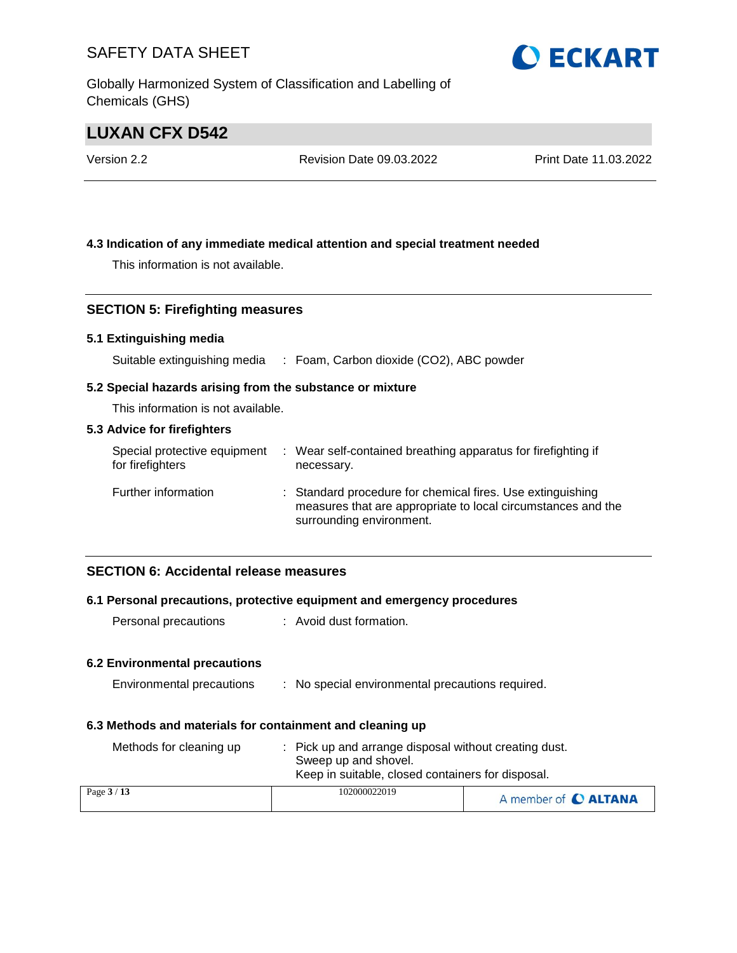Globally Harmonized System of Classification and Labelling of Chemicals (GHS)

# **LUXAN CFX D542**

| Version 2.2 | <b>Revision Date 09.03.2022</b> | Print Date 11.03.2022 |
|-------------|---------------------------------|-----------------------|
|             |                                 |                       |

#### **4.3 Indication of any immediate medical attention and special treatment needed**

This information is not available.

#### **SECTION 5: Firefighting measures**

#### **5.1 Extinguishing media**

Suitable extinguishing media : Foam, Carbon dioxide (CO2), ABC powder

#### **5.2 Special hazards arising from the substance or mixture**

This information is not available.

#### **5.3 Advice for firefighters**

| Special protective equipment<br>for firefighters | : Wear self-contained breathing apparatus for firefighting if<br>necessary.                                                                            |
|--------------------------------------------------|--------------------------------------------------------------------------------------------------------------------------------------------------------|
| Further information                              | : Standard procedure for chemical fires. Use extinguishing<br>measures that are appropriate to local circumstances and the<br>surrounding environment. |

### **SECTION 6: Accidental release measures**

#### **6.1 Personal precautions, protective equipment and emergency procedures**

Personal precautions : Avoid dust formation.

#### **6.2 Environmental precautions**

| Environmental precautions |  |  | No special environmental precautions required. |  |  |
|---------------------------|--|--|------------------------------------------------|--|--|
|---------------------------|--|--|------------------------------------------------|--|--|

#### **6.3 Methods and materials for containment and cleaning up**

| Methods for cleaning up | : Pick up and arrange disposal without creating dust.<br>Sweep up and shovel.<br>Keep in suitable, closed containers for disposal. |                      |
|-------------------------|------------------------------------------------------------------------------------------------------------------------------------|----------------------|
| Page $3/13$             | 102000022019                                                                                                                       | A member of C ALTANA |

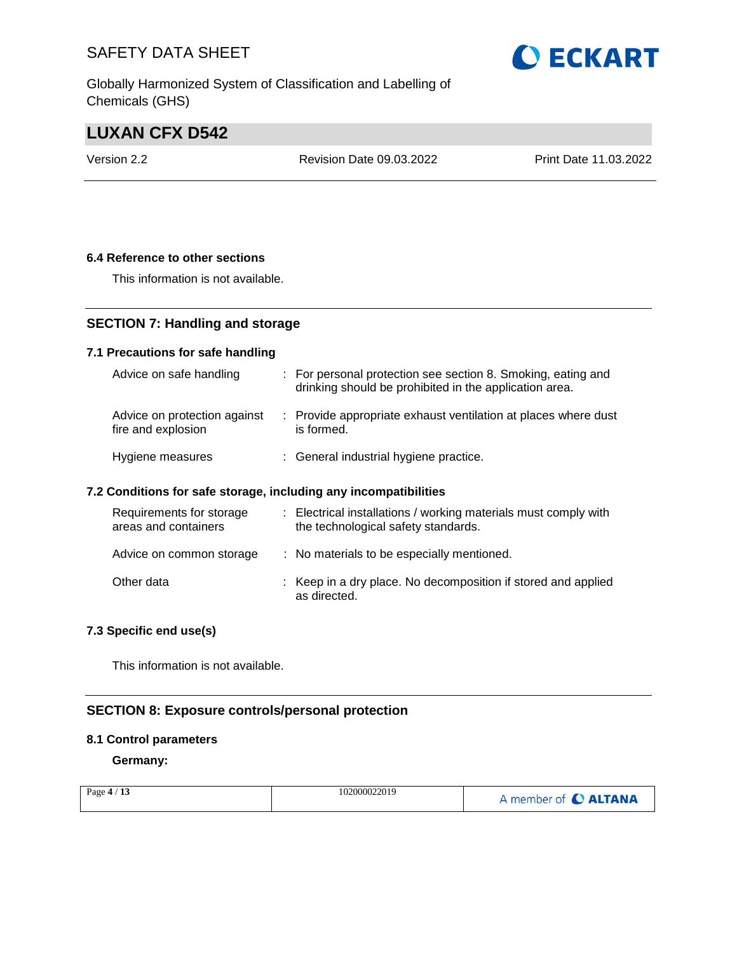Globally Harmonized System of Classification and Labelling of Chemicals (GHS)

# **LUXAN CFX D542**

Version 2.2 Revision Date 09.03.2022 Print Date 11.03.2022

#### **6.4 Reference to other sections**

This information is not available.

### **SECTION 7: Handling and storage**

#### **7.1 Precautions for safe handling**

| Advice on safe handling                            | : For personal protection see section 8. Smoking, eating and<br>drinking should be prohibited in the application area. |
|----------------------------------------------------|------------------------------------------------------------------------------------------------------------------------|
| Advice on protection against<br>fire and explosion | : Provide appropriate exhaust ventilation at places where dust<br>is formed.                                           |
| Hygiene measures                                   | : General industrial hygiene practice.                                                                                 |

#### **7.2 Conditions for safe storage, including any incompatibilities**

| Requirements for storage<br>areas and containers | : Electrical installations / working materials must comply with<br>the technological safety standards. |
|--------------------------------------------------|--------------------------------------------------------------------------------------------------------|
| Advice on common storage                         | : No materials to be especially mentioned.                                                             |
| Other data                                       | : Keep in a dry place. No decomposition if stored and applied<br>as directed.                          |

#### **7.3 Specific end use(s)**

This information is not available.

### **SECTION 8: Exposure controls/personal protection**

#### **8.1 Control parameters**

**Germany:**

| Page $4/13$ | 102000022019 | A member of C ALTANA |
|-------------|--------------|----------------------|
|-------------|--------------|----------------------|

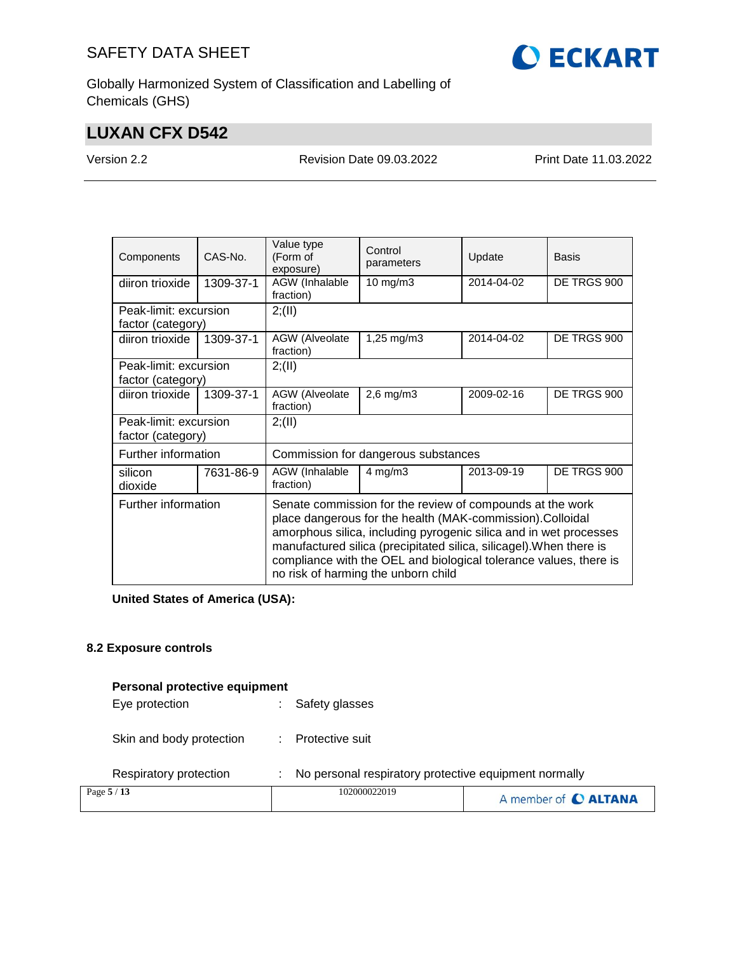

Globally Harmonized System of Classification and Labelling of Chemicals (GHS)

# **LUXAN CFX D542**

Version 2.2 Revision Date 09.03.2022 Print Date 11.03.2022

| Components                                 | CAS-No.   | Value type<br>(Form of<br>exposure)                                                                                                                                                                                                                                                                                                                                             | Control<br>parameters | Update     | Basis       |
|--------------------------------------------|-----------|---------------------------------------------------------------------------------------------------------------------------------------------------------------------------------------------------------------------------------------------------------------------------------------------------------------------------------------------------------------------------------|-----------------------|------------|-------------|
| diiron trioxide                            | 1309-37-1 | AGW (Inhalable<br>fraction)                                                                                                                                                                                                                                                                                                                                                     | 10 mg/m $3$           | 2014-04-02 | DE TRGS 900 |
| Peak-limit: excursion<br>factor (category) |           | 2; (II)                                                                                                                                                                                                                                                                                                                                                                         |                       |            |             |
| diiron trioxide                            | 1309-37-1 | AGW (Alveolate<br>fraction)                                                                                                                                                                                                                                                                                                                                                     | 1,25 mg/m3            | 2014-04-02 | DE TRGS 900 |
| Peak-limit: excursion<br>factor (category) |           | 2; (II)                                                                                                                                                                                                                                                                                                                                                                         |                       |            |             |
| diiron trioxide                            | 1309-37-1 | AGW (Alveolate<br>fraction)                                                                                                                                                                                                                                                                                                                                                     | $2,6$ mg/m $3$        | 2009-02-16 | DE TRGS 900 |
| Peak-limit: excursion<br>factor (category) |           | 2; (II)                                                                                                                                                                                                                                                                                                                                                                         |                       |            |             |
| Further information                        |           | Commission for dangerous substances                                                                                                                                                                                                                                                                                                                                             |                       |            |             |
| silicon<br>dioxide                         | 7631-86-9 | AGW (Inhalable<br>fraction)                                                                                                                                                                                                                                                                                                                                                     | $4$ mg/m $3$          | 2013-09-19 | DE TRGS 900 |
| Further information                        |           | Senate commission for the review of compounds at the work<br>place dangerous for the health (MAK-commission). Colloidal<br>amorphous silica, including pyrogenic silica and in wet processes<br>manufactured silica (precipitated silica, silicagel). When there is<br>compliance with the OEL and biological tolerance values, there is<br>no risk of harming the unborn child |                       |            |             |

**United States of America (USA):**

#### **8.2 Exposure controls**

#### **Personal protective equipment**

| Eye protection | : Safety glasses |
|----------------|------------------|
|                |                  |

Skin and body protection : Protective suit

Respiratory protection : No personal respiratory protective equipment normally

| Page $5/13$ | 102000022019 | A member of C ALTANA |
|-------------|--------------|----------------------|
|-------------|--------------|----------------------|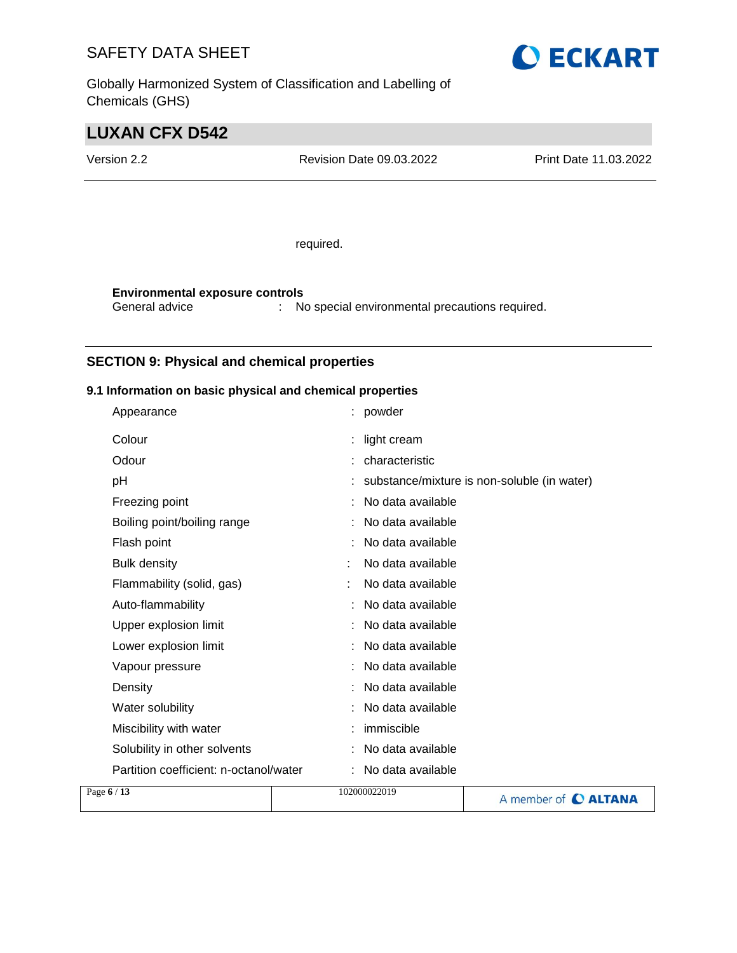Globally Harmonized System of Classification and Labelling of Chemicals (GHS)



# **LUXAN CFX D542**

Version 2.2 Revision Date 09.03.2022 Print Date 11.03.2022

required.

**Environmental exposure controls** : No special environmental precautions required.

### **SECTION 9: Physical and chemical properties**

#### **9.1 Information on basic physical and chemical properties**

| Page 6 / 13                            | 102000022019      | A member of <b>C ALTANA</b>                 |
|----------------------------------------|-------------------|---------------------------------------------|
| Partition coefficient: n-octanol/water | No data available |                                             |
| Solubility in other solvents           | No data available |                                             |
| Miscibility with water                 | immiscible        |                                             |
| Water solubility                       | No data available |                                             |
| Density                                | No data available |                                             |
| Vapour pressure                        | No data available |                                             |
| Lower explosion limit                  | No data available |                                             |
| Upper explosion limit                  | No data available |                                             |
| Auto-flammability                      | No data available |                                             |
| Flammability (solid, gas)              | No data available |                                             |
| <b>Bulk density</b>                    | No data available |                                             |
| Flash point                            | No data available |                                             |
| Boiling point/boiling range            | No data available |                                             |
| Freezing point                         | No data available |                                             |
| pH                                     |                   | substance/mixture is non-soluble (in water) |
| Odour                                  | : characteristic  |                                             |
| Colour                                 | light cream       |                                             |
|                                        |                   |                                             |
| Appearance                             | : powder          |                                             |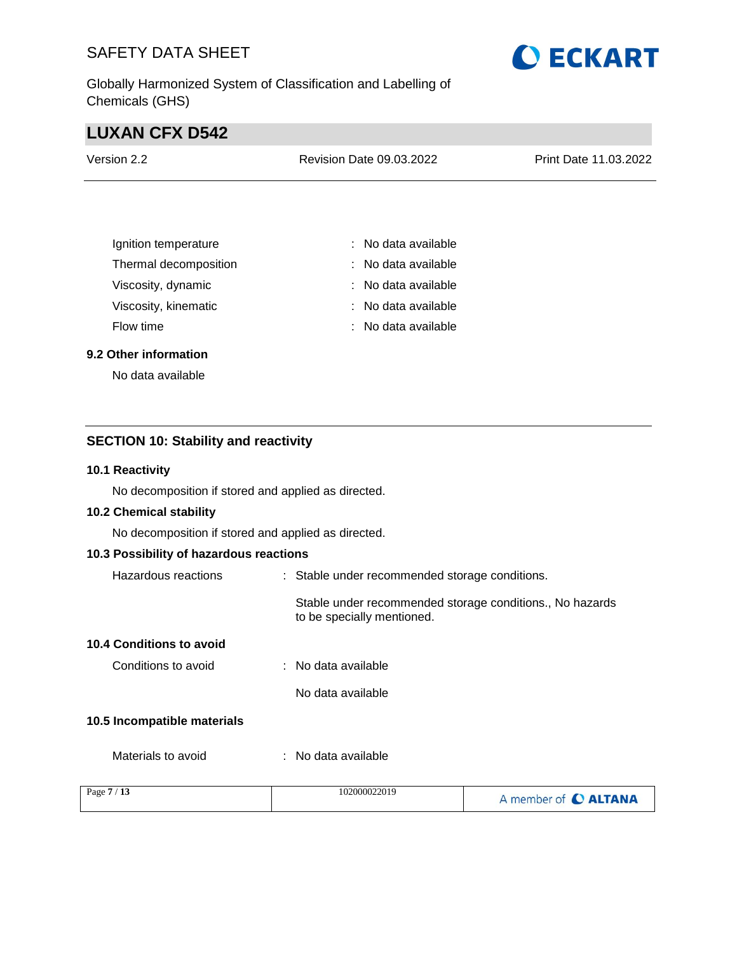Globally Harmonized System of Classification and Labelling of Chemicals (GHS)

# **LUXAN CFX D542**

| Version 2.2 | <b>Revision Date 09.03.2022</b> | <b>Print Date 11.03.2022</b> |
|-------------|---------------------------------|------------------------------|
|             |                                 |                              |

| Ignition temperature  | : No data available   |
|-----------------------|-----------------------|
| Thermal decomposition | : No data available   |
| Viscosity, dynamic    | $:$ No data available |
| Viscosity, kinematic  | : No data available   |
| Flow time             | : No data available   |

#### **9.2 Other information**

No data available

### **SECTION 10: Stability and reactivity**

#### **10.1 Reactivity**

No decomposition if stored and applied as directed.

#### **10.2 Chemical stability**

No decomposition if stored and applied as directed.

### **10.3 Possibility of hazardous reactions**

| Hazardous reactions         | : Stable under recommended storage conditions.                                         |
|-----------------------------|----------------------------------------------------------------------------------------|
|                             | Stable under recommended storage conditions., No hazards<br>to be specially mentioned. |
| 10.4 Conditions to avoid    |                                                                                        |
| Conditions to avoid         | $:$ No data available                                                                  |
|                             | No data available                                                                      |
| 10.5 Incompatible materials |                                                                                        |

Materials to avoid : No data available

| Page $7/13$ | 102000022019 | A member of C ALTANA |
|-------------|--------------|----------------------|
|             |              |                      |

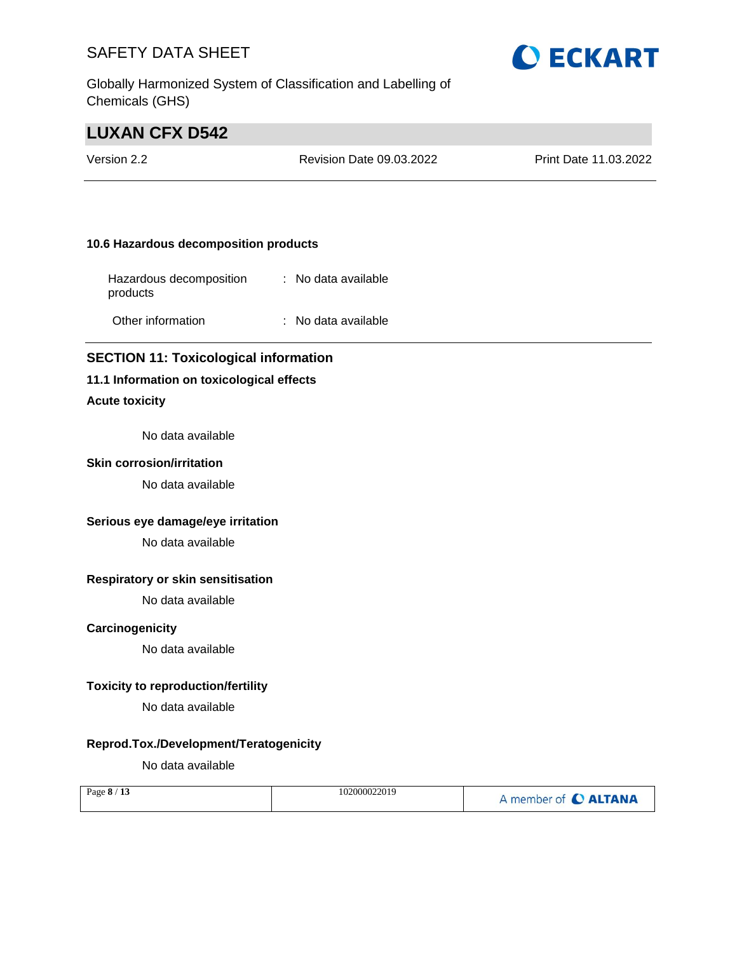Globally Harmonized System of Classification and Labelling of Chemicals (GHS)

# **LUXAN CFX D542**

| Version 2.2 | Revision Date 09.03.2022 | <b>Print Date 11.03.2022</b> |
|-------------|--------------------------|------------------------------|
|             |                          |                              |

#### **10.6 Hazardous decomposition products**

| Hazardous decomposition<br>products | $:$ No data available |
|-------------------------------------|-----------------------|
| Other information                   | : No data available   |

#### **SECTION 11: Toxicological information**

#### **11.1 Information on toxicological effects**

#### **Acute toxicity**

No data available

#### **Skin corrosion/irritation**

No data available

#### **Serious eye damage/eye irritation**

No data available

### **Respiratory or skin sensitisation**

No data available

#### **Carcinogenicity**

No data available

#### **Toxicity to reproduction/fertility**

No data available

#### **Reprod.Tox./Development/Teratogenicity**

No data available

| Page $8/13$ | 102000022019 | A member of C ALTANA |
|-------------|--------------|----------------------|
|-------------|--------------|----------------------|

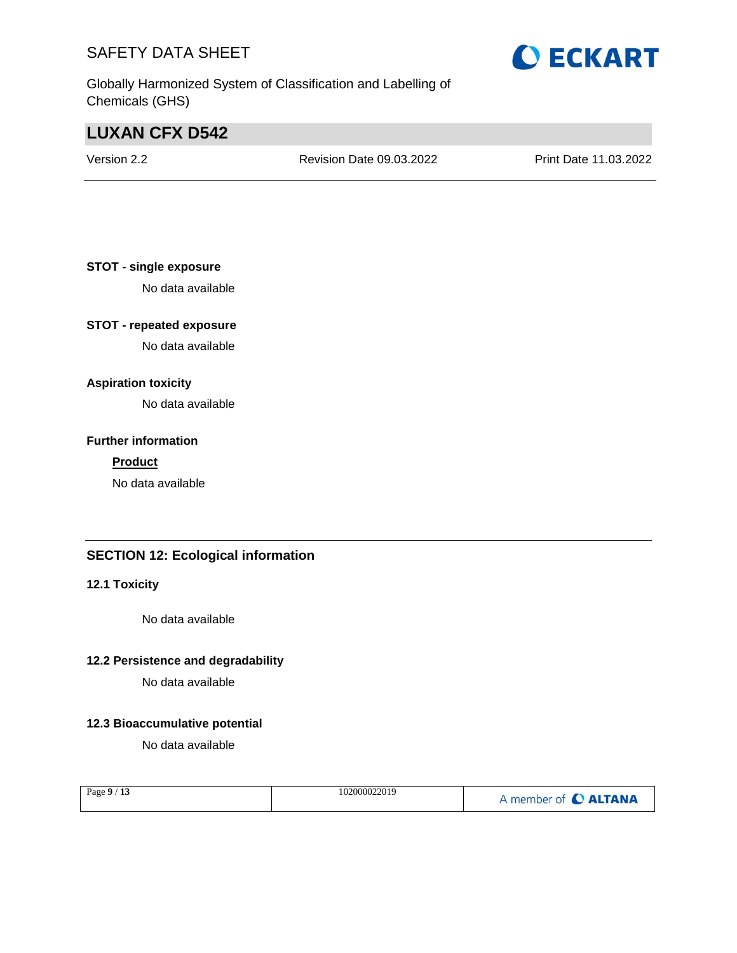Globally Harmonized System of Classification and Labelling of Chemicals (GHS)

# **LUXAN CFX D542**

Version 2.2 Revision Date 09.03.2022 Print Date 11.03.2022

### **STOT - single exposure**

No data available

### **STOT - repeated exposure**

No data available

### **Aspiration toxicity**

No data available

#### **Further information**

#### **Product**

No data available

### **SECTION 12: Ecological information**

### **12.1 Toxicity**

No data available

#### **12.2 Persistence and degradability**

No data available

#### **12.3 Bioaccumulative potential**

No data available

| Page $9/13$ | 102000022019 | A member of C ALTANA |
|-------------|--------------|----------------------|
|-------------|--------------|----------------------|

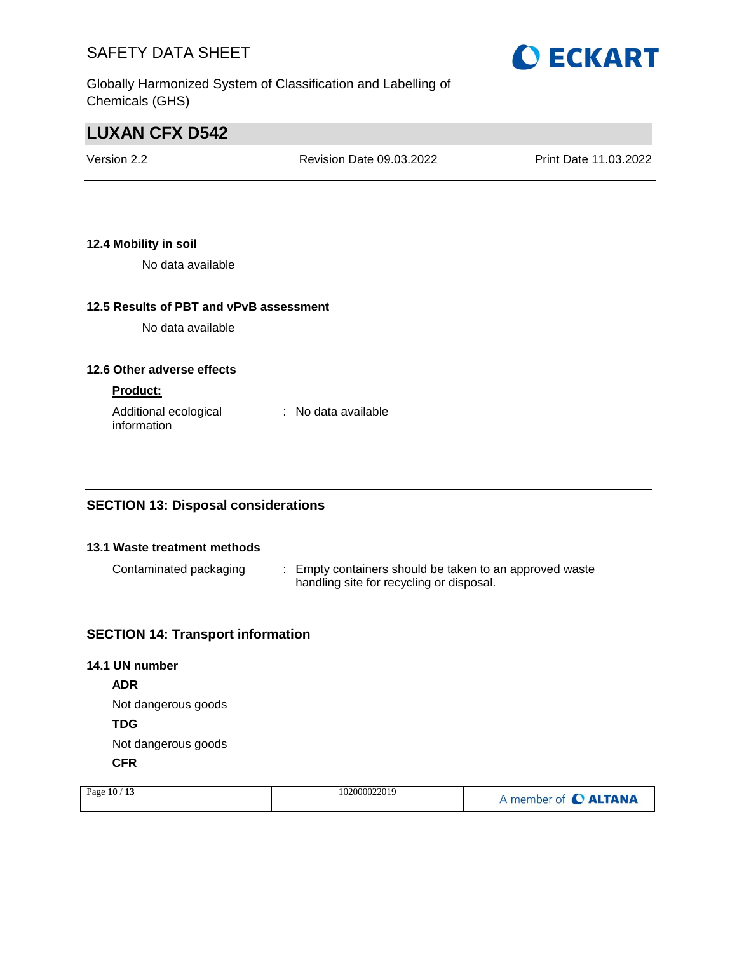

Globally Harmonized System of Classification and Labelling of Chemicals (GHS)

# **LUXAN CFX D542**

| Version 2.2 | <b>Revision Date 09.03.2022</b> | Print Date 11.03.2022 |
|-------------|---------------------------------|-----------------------|
|             |                                 |                       |

### **12.4 Mobility in soil**

No data available

### **12.5 Results of PBT and vPvB assessment**

No data available

#### **12.6 Other adverse effects**

#### **Product:**

| Additional ecological | : No data available |
|-----------------------|---------------------|
| information           |                     |

### **SECTION 13: Disposal considerations**

#### **13.1 Waste treatment methods**

Contaminated packaging : Empty containers should be taken to an approved waste handling site for recycling or disposal.

### **SECTION 14: Transport information**

# **14.1 UN number ADR** Not dangerous goods **TDG** Not dangerous goods **CFR**

| Page 10 / 13 | 102000022019 | A member of C ALTANA |
|--------------|--------------|----------------------|
|              |              |                      |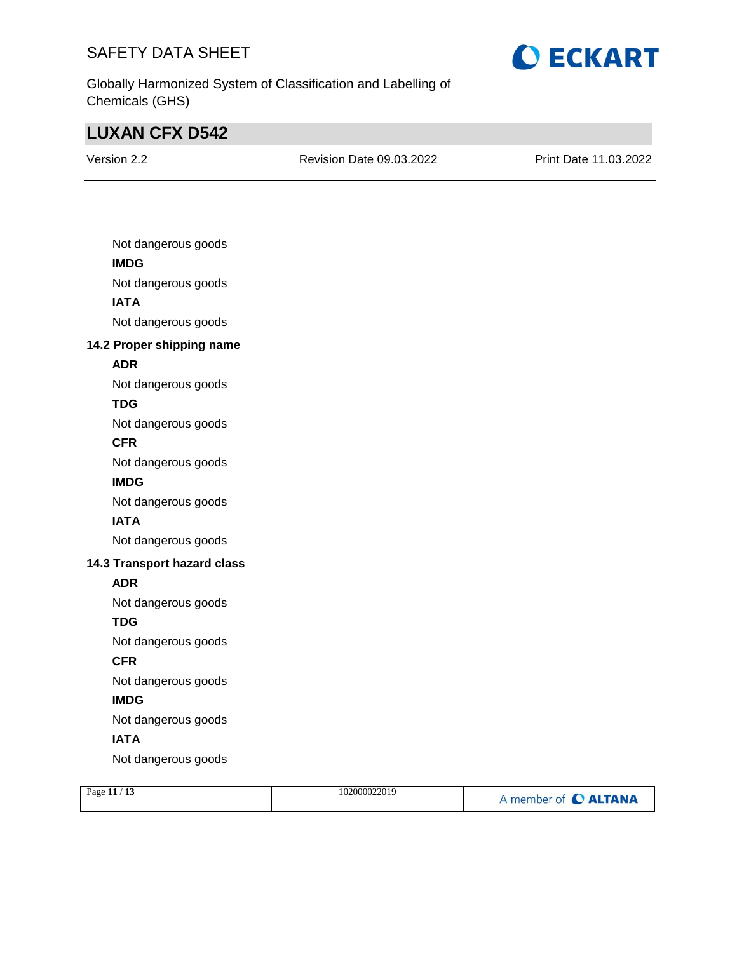

Globally Harmonized System of Classification and Labelling of Chemicals (GHS)

# **LUXAN CFX D542**

Version 2.2 Revision Date 09.03.2022 Print Date 11.03.2022

| Not dangerous goods         |
|-----------------------------|
| <b>IMDG</b>                 |
| Not dangerous goods         |
| <b>IATA</b>                 |
| Not dangerous goods         |
| 14.2 Proper shipping name   |
| <b>ADR</b>                  |
| Not dangerous goods         |
| <b>TDG</b>                  |
| Not dangerous goods         |
| <b>CFR</b>                  |
| Not dangerous goods         |
| <b>IMDG</b>                 |
| Not dangerous goods         |
| <b>IATA</b>                 |
| Not dangerous goods         |
| 14.3 Transport hazard class |
| <b>ADR</b>                  |
| Not dangerous goods         |
| <b>TDG</b>                  |
| Not dangerous goods         |
| <b>CFR</b>                  |
| Not dangerous goods         |
| <b>IMDG</b>                 |
| Not dangerous goods         |
| <b>IATA</b>                 |
| Not dangerous goods         |
|                             |

| Page $11/13$ | 102000022019 | A member of C ALTANA |
|--------------|--------------|----------------------|
|              |              |                      |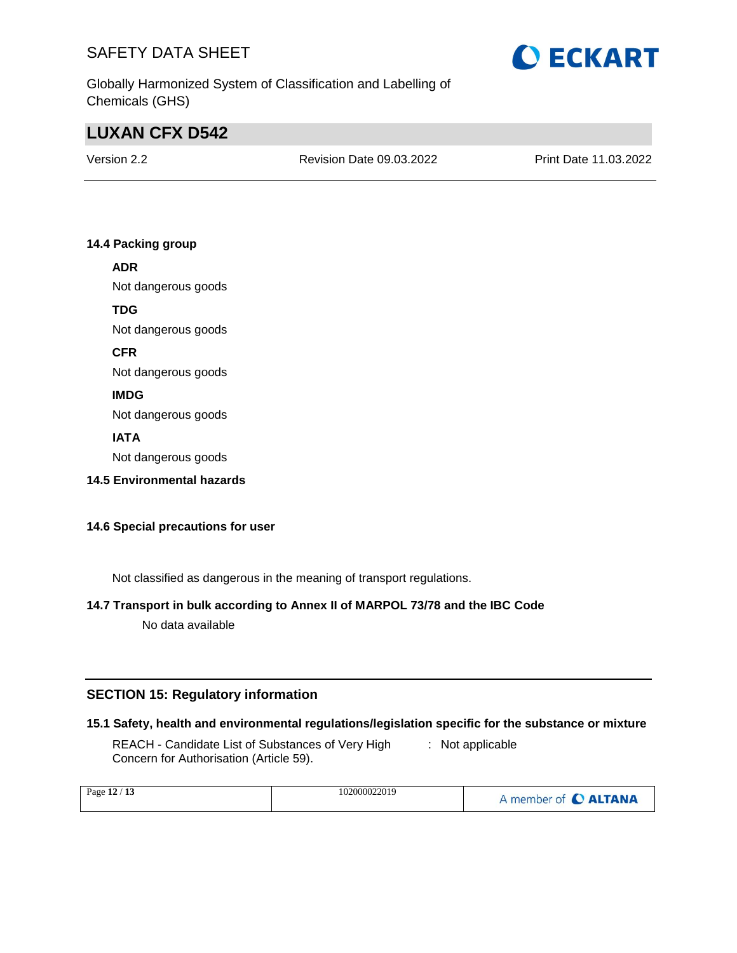

Globally Harmonized System of Classification and Labelling of Chemicals (GHS)

# **LUXAN CFX D542**

Version 2.2 Revision Date 09.03.2022 Print Date 11.03.2022

### **14.4 Packing group**

### **ADR**

Not dangerous goods

#### **TDG**

Not dangerous goods

**CFR**

Not dangerous goods

### **IMDG**

Not dangerous goods

### **IATA**

Not dangerous goods

**14.5 Environmental hazards**

### **14.6 Special precautions for user**

Not classified as dangerous in the meaning of transport regulations.

# **14.7 Transport in bulk according to Annex II of MARPOL 73/78 and the IBC Code**

No data available

### **SECTION 15: Regulatory information**

#### **15.1 Safety, health and environmental regulations/legislation specific for the substance or mixture**

REACH - Candidate List of Substances of Very High Concern for Authorisation (Article 59). : Not applicable

| Page $12/13$ | 102000022019 | A member of C ALTANA |
|--------------|--------------|----------------------|
|--------------|--------------|----------------------|